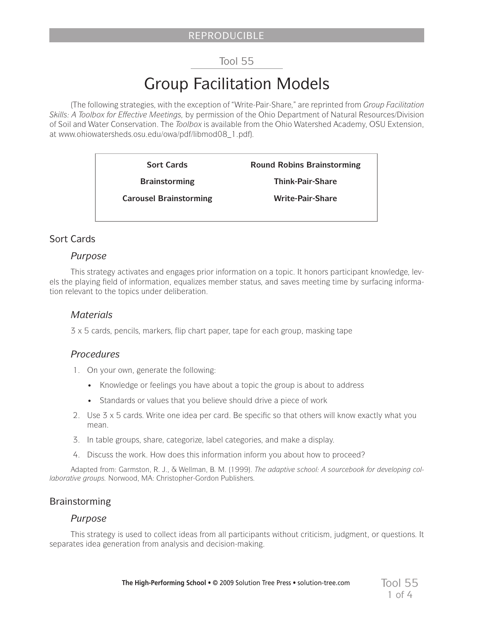# REPRODUCIBLE

# Tool 55

# Group Facilitation Models

(The following strategies, with the exception of "Write-Pair-Share," are reprinted from *Group Facilitation Skills: A Toolbox for Effective Meetings,* by permission of the Ohio Department of Natural Resources/Division of Soil and Water Conservation. The *Toolbox* is available from the Ohio Watershed Academy, OSU Extension, at www.ohiowatersheds.osu.edu/owa/pdf/libmod08\_1.pdf)*.*

> **Sort Cards Brainstorming Carousel Brainstorming Round Robins Brainstorming Think-Pair-Share Write-Pair-Share**

# Sort Cards

# *Purpose*

This strategy activates and engages prior information on a topic. It honors participant knowledge, levels the playing field of information, equalizes member status, and saves meeting time by surfacing information relevant to the topics under deliberation.

# *Materials*

3 x 5 cards, pencils, markers, flip chart paper, tape for each group, masking tape

# *Procedures*

- 1. On your own, generate the following:
	- Knowledge or feelings you have about a topic the group is about to address
	- Standards or values that you believe should drive a piece of work
- 2. Use 3 x 5 cards. Write one idea per card. Be specific so that others will know exactly what you mean.
- 3. In table groups, share, categorize, label categories, and make a display.
- 4. Discuss the work. How does this information inform you about how to proceed?

Adapted from: Garmston, R. J., & Wellman, B. M. (1999). *The adaptive school: A sourcebook for developing collaborative groups.* Norwood, MA: Christopher-Gordon Publishers.

# Brainstorming

# *Purpose*

This strategy is used to collect ideas from all participants without criticism, judgment, or questions. It separates idea generation from analysis and decision-making.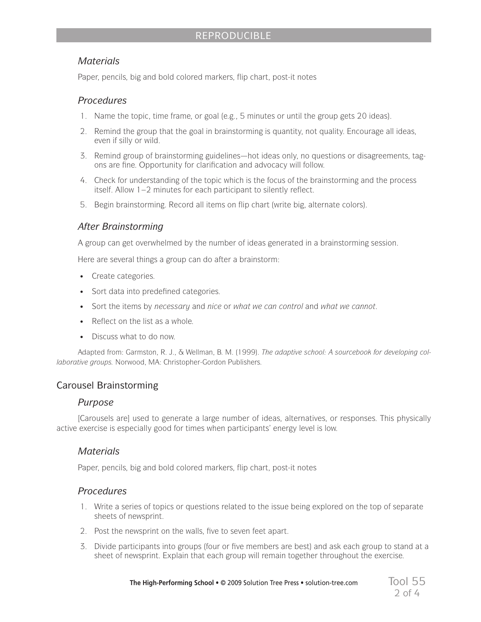# REPRODUCIBLE

# *Materials*

Paper, pencils, big and bold colored markers, flip chart, post-it notes

# *Procedures*

- 1. Name the topic, time frame, or goal (e.g., 5 minutes or until the group gets 20 ideas).
- 2. Remind the group that the goal in brainstorming is quantity, not quality. Encourage all ideas, even if silly or wild.
- 3. Remind group of brainstorming guidelines—hot ideas only, no questions or disagreements, tagons are fine. Opportunity for clarification and advocacy will follow.
- 4. Check for understanding of the topic which is the focus of the brainstorming and the process itself. Allow 1–2 minutes for each participant to silently reflect.
- 5. Begin brainstorming. Record all items on flip chart (write big, alternate colors).

# *After Brainstorming*

A group can get overwhelmed by the number of ideas generated in a brainstorming session.

Here are several things a group can do after a brainstorm:

- • Create categories.
- Sort data into predefined categories.
- • Sort the items by *necessary* and *nice* or *what we can control* and *what we cannot*.
- Reflect on the list as a whole.
- Discuss what to do now

Adapted from: Garmston, R. J., & Wellman, B. M. (1999). *The adaptive school: A sourcebook for developing collaborative groups.* Norwood, MA: Christopher-Gordon Publishers.

# Carousel Brainstorming

# *Purpose*

[Carousels are] used to generate a large number of ideas, alternatives, or responses. This physically active exercise is especially good for times when participants' energy level is low.

# *Materials*

Paper, pencils, big and bold colored markers, flip chart, post-it notes

# *Procedures*

- 1. Write a series of topics or questions related to the issue being explored on the top of separate sheets of newsprint.
- 2. Post the newsprint on the walls, five to seven feet apart.
- 3. Divide participants into groups (four or five members are best) and ask each group to stand at a sheet of newsprint. Explain that each group will remain together throughout the exercise.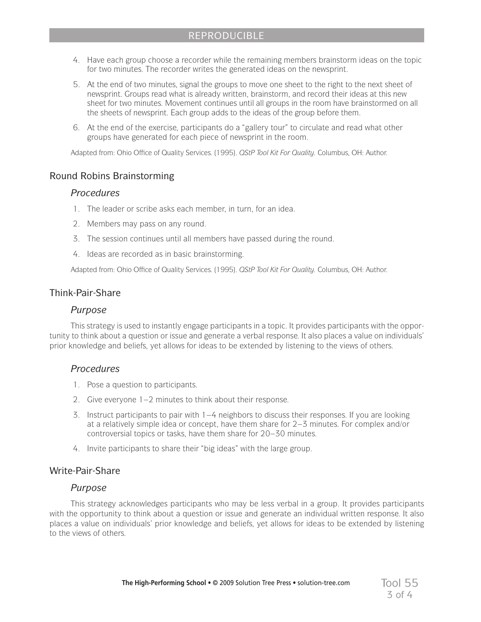- 4. Have each group choose a recorder while the remaining members brainstorm ideas on the topic for two minutes. The recorder writes the generated ideas on the newsprint.
- 5. At the end of two minutes, signal the groups to move one sheet to the right to the next sheet of newsprint. Groups read what is already written, brainstorm, and record their ideas at this new sheet for two minutes. Movement continues until all groups in the room have brainstormed on all the sheets of newsprint. Each group adds to the ideas of the group before them.
- 6. At the end of the exercise, participants do a "gallery tour" to circulate and read what other groups have generated for each piece of newsprint in the room.

Adapted from: Ohio Office of Quality Services. (1995). *QStP Tool Kit For Quality.* Columbus, OH: Author.

# Round Robins Brainstorming

#### *Procedures*

- 1. The leader or scribe asks each member, in turn, for an idea.
- 2. Members may pass on any round.
- 3. The session continues until all members have passed during the round.
- 4. Ideas are recorded as in basic brainstorming.

Adapted from: Ohio Office of Quality Services. (1995). *QStP Tool Kit For Quality.* Columbus, OH: Author.

# Think-Pair-Share

#### *Purpose*

This strategy is used to instantly engage participants in a topic. It provides participants with the opportunity to think about a question or issue and generate a verbal response. It also places a value on individuals' prior knowledge and beliefs, yet allows for ideas to be extended by listening to the views of others.

# *Procedures*

- 1. Pose a question to participants.
- 2. Give everyone 1–2 minutes to think about their response.
- 3. Instruct participants to pair with 1–4 neighbors to discuss their responses. If you are looking at a relatively simple idea or concept, have them share for 2–3 minutes. For complex and/or controversial topics or tasks, have them share for 20–30 minutes.
- 4. Invite participants to share their "big ideas" with the large group.

# Write-Pair-Share

#### *Purpose*

This strategy acknowledges participants who may be less verbal in a group. It provides participants with the opportunity to think about a question or issue and generate an individual written response. It also places a value on individuals' prior knowledge and beliefs, yet allows for ideas to be extended by listening to the views of others.